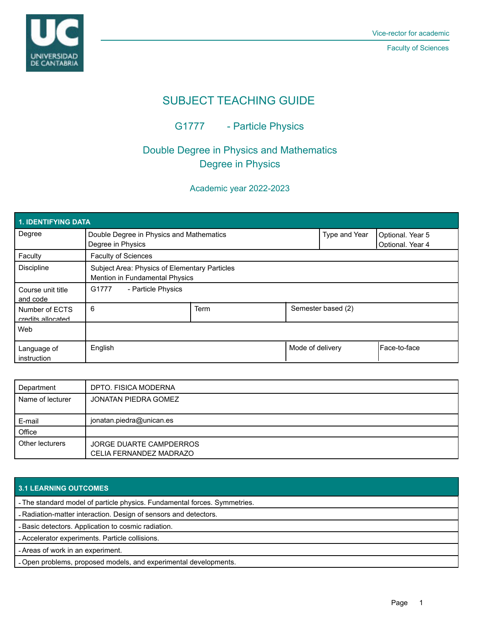

Faculty of Sciences

# SUBJECT TEACHING GUIDE

### G1777 - Particle Physics

## Double Degree in Physics and Mathematics Degree in Physics

### Academic year 2022-2023

| <b>1. IDENTIFYING DATA</b>          |                                                                                 |      |                  |                    |                                      |  |  |  |
|-------------------------------------|---------------------------------------------------------------------------------|------|------------------|--------------------|--------------------------------------|--|--|--|
| Degree                              | Double Degree in Physics and Mathematics<br>Degree in Physics                   |      |                  | Type and Year      | Optional. Year 5<br>Optional. Year 4 |  |  |  |
| Faculty                             | <b>Faculty of Sciences</b>                                                      |      |                  |                    |                                      |  |  |  |
| <b>Discipline</b>                   | Subject Area: Physics of Elementary Particles<br>Mention in Fundamental Physics |      |                  |                    |                                      |  |  |  |
| Course unit title<br>and code       | - Particle Physics<br>G1777                                                     |      |                  |                    |                                      |  |  |  |
| Number of ECTS<br>credits allocated | 6                                                                               | Term |                  | Semester based (2) |                                      |  |  |  |
| Web                                 |                                                                                 |      |                  |                    |                                      |  |  |  |
| Language of<br>instruction          | English                                                                         |      | Mode of delivery |                    | l Face-to-face                       |  |  |  |

| Department       | DPTO. FISICA MODERNA     |
|------------------|--------------------------|
| Name of lecturer | JONATAN PIEDRA GOMEZ     |
|                  |                          |
| E-mail           | jonatan.piedra@unican.es |
| Office           |                          |
| Other lecturers  | JORGE DUARTE CAMPDERROS  |
|                  | CELIA FERNANDEZ MADRAZO  |

#### **3.1 LEARNING OUTCOMES**

- The standard model of particle physics. Fundamental forces. Symmetries.

- Radiation-matter interaction. Design of sensors and detectors.

- Basic detectors. Application to cosmic radiation.

- Accelerator experiments. Particle collisions.

- Areas of work in an experiment.

- Open problems, proposed models, and experimental developments.